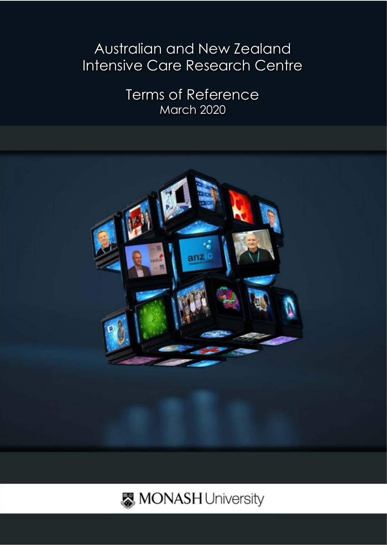# Australian and New Zealand Intensive Care Research Centre

Terms of Reference March 2020



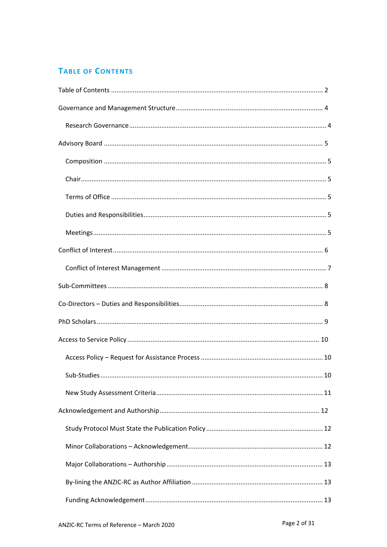# <span id="page-1-0"></span>**TABLE OF CONTENTS**

| Sub-Studies<br>10 |  |
|-------------------|--|
|                   |  |
|                   |  |
|                   |  |
|                   |  |
|                   |  |
|                   |  |
|                   |  |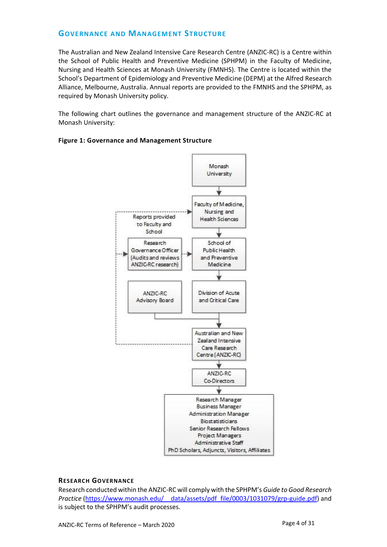## <span id="page-3-0"></span>**GOVERNANCE AND MANAGEMENT STRUCTURE**

The Australian and New Zealand Intensive Care Research Centre (ANZIC-RC) is a Centre within the School of Public Health and Preventive Medicine (SPHPM) in the Faculty of Medicine, Nursing and Health Sciences at Monash University (FMNHS). The Centre is located within the School's Department of Epidemiology and Preventive Medicine (DEPM) at the Alfred Research Alliance, Melbourne, Australia. Annual reports are provided to the FMNHS and the SPHPM, as required by Monash University policy.

The following chart outlines the governance and management structure of the ANZIC-RC at Monash University:

### **Figure 1: Governance and Management Structure**



### <span id="page-3-1"></span>**RESEARCH GOVERNANCE**

Research conducted within the ANZIC-RC will comply with the SPHPM's *Guide to Good Research Practice* [\(https://www.monash.edu/\\_\\_data/assets/pdf\\_file/0003/1031079/grp-guide.pdf\)](https://www.monash.edu/__data/assets/pdf_file/0003/1031079/grp-guide.pdf) and is subject to the SPHPM's audit processes.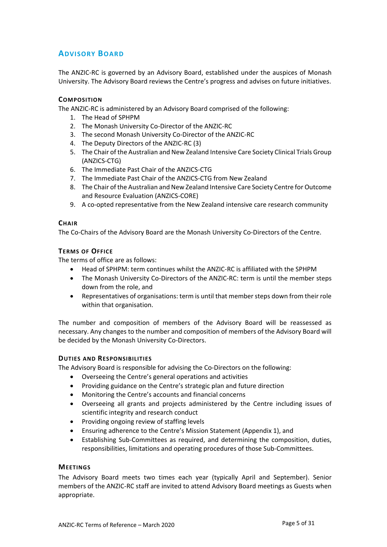## <span id="page-4-0"></span>**ADVISORY BOARD**

The ANZIC-RC is governed by an Advisory Board, established under the auspices of Monash University. The Advisory Board reviews the Centre's progress and advises on future initiatives.

## <span id="page-4-1"></span>**COMPOSITION**

The ANZIC-RC is administered by an Advisory Board comprised of the following:

- 1. The Head of SPHPM
- 2. The Monash University Co-Director of the ANZIC-RC
- 3. The second Monash University Co-Director of the ANZIC-RC
- 4. The Deputy Directors of the ANZIC-RC (3)
- 5. The Chair of the Australian and New Zealand Intensive Care Society Clinical Trials Group (ANZICS-CTG)
- 6. The Immediate Past Chair of the ANZICS-CTG
- 7. The Immediate Past Chair of the ANZICS-CTG from New Zealand
- 8. The Chair of the Australian and New Zealand Intensive Care Society Centre for Outcome and Resource Evaluation (ANZICS-CORE)
- 9. A co-opted representative from the New Zealand intensive care research community

### <span id="page-4-2"></span>**CHAIR**

The Co-Chairs of the Advisory Board are the Monash University Co-Directors of the Centre.

## <span id="page-4-3"></span>**TERMS OF OFFICE**

The terms of office are as follows:

- Head of SPHPM: term continues whilst the ANZIC-RC is affiliated with the SPHPM
- The Monash University Co-Directors of the ANZIC-RC: term is until the member steps down from the role, and
- Representatives of organisations: term is until that member steps down from their role within that organisation.

The number and composition of members of the Advisory Board will be reassessed as necessary. Any changes to the number and composition of members of the Advisory Board will be decided by the Monash University Co-Directors.

## <span id="page-4-4"></span>**DUTIES AND RESPONSIBILITIES**

The Advisory Board is responsible for advising the Co-Directors on the following:

- Overseeing the Centre's general operations and activities
- Providing guidance on the Centre's strategic plan and future direction
- Monitoring the Centre's accounts and financial concerns
- Overseeing all grants and projects administered by the Centre including issues of scientific integrity and research conduct
- Providing ongoing review of staffing levels
- Ensuring adherence to the Centre's Mission Statement (Appendix 1), and
- Establishing Sub-Committees as required, and determining the composition, duties, responsibilities, limitations and operating procedures of those Sub-Committees.

## <span id="page-4-5"></span>**MEETINGS**

The Advisory Board meets two times each year (typically April and September). Senior members of the ANZIC-RC staff are invited to attend Advisory Board meetings as Guests when appropriate.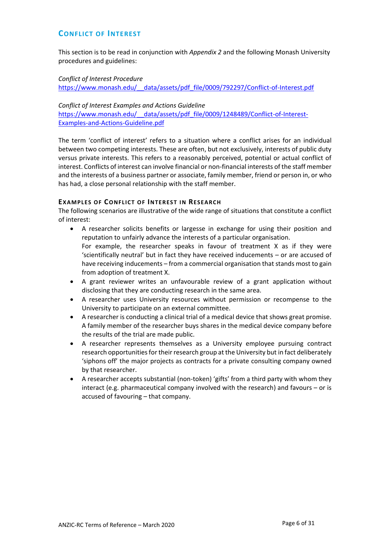## <span id="page-5-0"></span>**CONFLICT OF INTEREST**

This section is to be read in conjunction with *Appendix 2* and the following Monash University procedures and guidelines:

*Conflict of Interest Procedure* [https://www.monash.edu/\\_\\_data/assets/pdf\\_file/0009/792297/Conflict-of-Interest.pdf](https://www.monash.edu/__data/assets/pdf_file/0009/792297/Conflict-of-Interest.pdf)

*Conflict of Interest Examples and Actions Guideline* https://www.monash.edu/ data/assets/pdf file/0009/1248489/Conflict-of-Interest-[Examples-and-Actions-Guideline.pdf](https://www.monash.edu/__data/assets/pdf_file/0009/1248489/Conflict-of-Interest-Examples-and-Actions-Guideline.pdf)

The term 'conflict of interest' refers to a situation where a conflict arises for an individual between two competing interests. These are often, but not exclusively, interests of public duty versus private interests. This refers to a reasonably perceived, potential or actual conflict of interest. Conflicts of interest can involve financial or non-financial interests of the staff member and the interests of a business partner or associate, family member, friend or person in, or who has had, a close personal relationship with the staff member.

## **EXAMPLES OF CONFLICT OF INTEREST IN RESEARCH**

The following scenarios are illustrative of the wide range of situations that constitute a conflict of interest:

- A researcher solicits benefits or largesse in exchange for using their position and reputation to unfairly advance the interests of a particular organisation. For example, the researcher speaks in favour of treatment X as if they were 'scientifically neutral' but in fact they have received inducements – or are accused of have receiving inducements – from a commercial organisation that stands most to gain from adoption of treatment X.
- A grant reviewer writes an unfavourable review of a grant application without disclosing that they are conducting research in the same area.
- A researcher uses University resources without permission or recompense to the University to participate on an external committee.
- A researcher is conducting a clinical trial of a medical device that shows great promise. A family member of the researcher buys shares in the medical device company before the results of the trial are made public.
- A researcher represents themselves as a University employee pursuing contract research opportunities for their research group at the University but in fact deliberately 'siphons off' the major projects as contracts for a private consulting company owned by that researcher.
- A researcher accepts substantial (non-token) 'gifts' from a third party with whom they interact (e.g. pharmaceutical company involved with the research) and favours – or is accused of favouring – that company.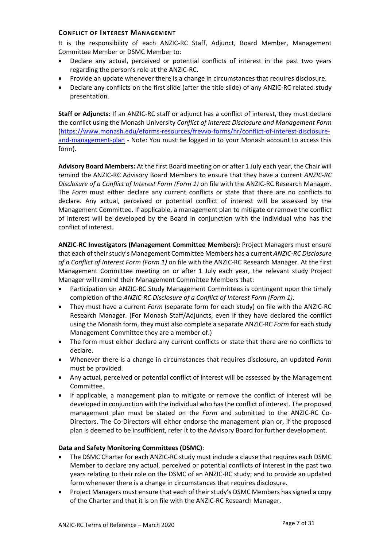## <span id="page-6-0"></span>**CONFLICT OF INTEREST MANAGEMENT**

It is the responsibility of each ANZIC-RC Staff, Adjunct, Board Member, Management Committee Member or DSMC Member to:

- Declare any actual, perceived or potential conflicts of interest in the past two years regarding the person's role at the ANZIC-RC.
- Provide an update whenever there is a change in circumstances that requires disclosure.
- Declare any conflicts on the first slide (after the title slide) of any ANZIC-RC related study presentation.

**Staff or Adjuncts:** If an ANZIC-RC staff or adjunct has a conflict of interest, they must declare the conflict using the Monash University *Conflict of Interest Disclosure and Management Form* [\(https://www.monash.edu/eforms-resources/frevvo-forms/hr/conflict-of-interest-disclosure](https://www.monash.edu/eforms-resources/frevvo-forms/hr/conflict-of-interest-disclosure-and-management-plan)[and-management-plan](https://www.monash.edu/eforms-resources/frevvo-forms/hr/conflict-of-interest-disclosure-and-management-plan) - Note: You must be logged in to your Monash account to access this form).

**Advisory Board Members:** At the first Board meeting on or after 1 July each year, the Chair will remind the ANZIC-RC Advisory Board Members to ensure that they have a current *ANZIC-RC Disclosure of a Conflict of Interest Form (Form 1)* on file with the ANZIC-RC Research Manager. The *Form* must either declare any current conflicts or state that there are no conflicts to declare. Any actual, perceived or potential conflict of interest will be assessed by the Management Committee. If applicable, a management plan to mitigate or remove the conflict of interest will be developed by the Board in conjunction with the individual who has the conflict of interest.

**ANZIC-RC Investigators (Management Committee Members):** Project Managers must ensure that each of their study's Management Committee Members has a current *ANZIC-RC Disclosure of a Conflict of Interest Form (Form 1)* on file with the ANZIC-RC Research Manager. At the first Management Committee meeting on or after 1 July each year, the relevant study Project Manager will remind their Management Committee Members that:

- Participation on ANZIC-RC Study Management Committees is contingent upon the timely completion of the *ANZIC-RC Disclosure of a Conflict of Interest Form (Form 1)*.
- They must have a current *Form* (separate form for each study) on file with the ANZIC-RC Research Manager. (For Monash Staff/Adjuncts, even if they have declared the conflict using the Monash form, they must also complete a separate ANZIC-RC *Form* for each study Management Committee they are a member of.)
- The form must either declare any current conflicts or state that there are no conflicts to declare.
- Whenever there is a change in circumstances that requires disclosure, an updated *Form* must be provided.
- Any actual, perceived or potential conflict of interest will be assessed by the Management Committee.
- If applicable, a management plan to mitigate or remove the conflict of interest will be developed in conjunction with the individual who has the conflict of interest. The proposed management plan must be stated on the *Form* and submitted to the ANZIC-RC Co-Directors. The Co-Directors will either endorse the management plan or, if the proposed plan is deemed to be insufficient, refer it to the Advisory Board for further development.

### **Data and Safety Monitoring Committees (DSMC)**:

- The DSMC Charter for each ANZIC-RC study must include a clause that requires each DSMC Member to declare any actual, perceived or potential conflicts of interest in the past two years relating to their role on the DSMC of an ANZIC-RC study; and to provide an updated form whenever there is a change in circumstances that requires disclosure.
- Project Managers must ensure that each of their study's DSMC Members has signed a copy of the Charter and that it is on file with the ANZIC-RC Research Manager.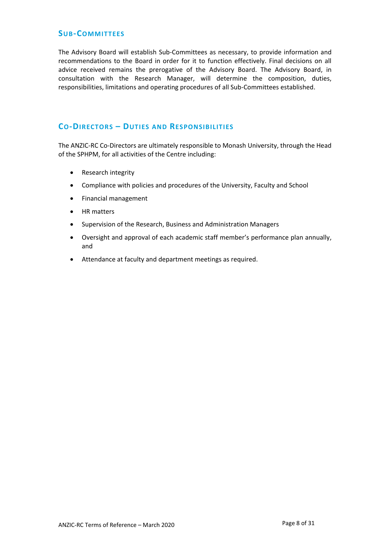## <span id="page-7-0"></span>**SUB-COMMITTEES**

The Advisory Board will establish Sub-Committees as necessary, to provide information and recommendations to the Board in order for it to function effectively. Final decisions on all advice received remains the prerogative of the Advisory Board. The Advisory Board, in consultation with the Research Manager, will determine the composition, duties, responsibilities, limitations and operating procedures of all Sub-Committees established.

## <span id="page-7-1"></span>**CO-DIRECTORS – DUTIES AND RESPONSIBILITIES**

The ANZIC-RC Co-Directors are ultimately responsible to Monash University, through the Head of the SPHPM, for all activities of the Centre including:

- Research integrity
- Compliance with policies and procedures of the University, Faculty and School
- Financial management
- HR matters
- Supervision of the Research, Business and Administration Managers
- Oversight and approval of each academic staff member's performance plan annually, and
- Attendance at faculty and department meetings as required.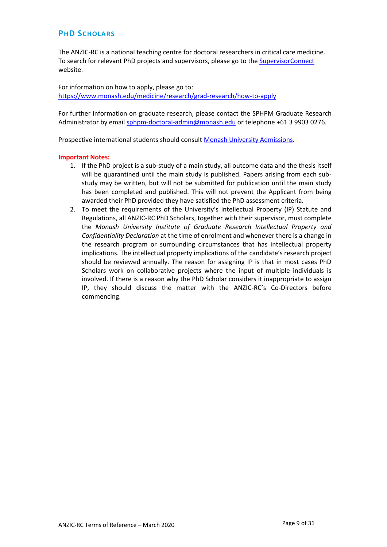## <span id="page-8-0"></span>**PHD SCHOLARS**

The ANZIC-RC is a national teaching centre for doctoral researchers in critical care medicine. To search for relevant PhD projects and supervisors, please go to the [SupervisorConnect](https://supervisorconnect.med.monash.edu/research-projects?combine=&field_project_stream_value%5B0%5D=PhD&field_project_stream_value%5B1%5D=Masters&shs_term_node_tid_depth=13&sort_by=title&sort_order=ASC) website.

For information on how to apply, please go to: <https://www.monash.edu/medicine/research/grad-research/how-to-apply>

For further information on graduate research, please contact the SPHPM Graduate Research Administrator by email [sphpm-doctoral-admin@monash.edu](mailto:sphpm-doctoral-admin@monash.edu) or telephone +61 3 9903 0276.

Prospective international students should consul[t Monash University Admissions.](https://www.monash.edu/admissions)

#### **Important Notes:**

- 1. If the PhD project is a sub-study of a main study, all outcome data and the thesis itself will be quarantined until the main study is published. Papers arising from each substudy may be written, but will not be submitted for publication until the main study has been completed and published. This will not prevent the Applicant from being awarded their PhD provided they have satisfied the PhD assessment criteria.
- 2. To meet the requirements of the University's Intellectual Property (IP) Statute and Regulations, all ANZIC-RC PhD Scholars, together with their supervisor, must complete the *Monash University Institute of Graduate Research Intellectual Property and Confidentiality Declaration* at the time of enrolment and whenever there is a change in the research program or surrounding circumstances that has intellectual property implications. The intellectual property implications of the candidate's research project should be reviewed annually. The reason for assigning IP is that in most cases PhD Scholars work on collaborative projects where the input of multiple individuals is involved. If there is a reason why the PhD Scholar considers it inappropriate to assign IP, they should discuss the matter with the ANZIC-RC's Co-Directors before commencing.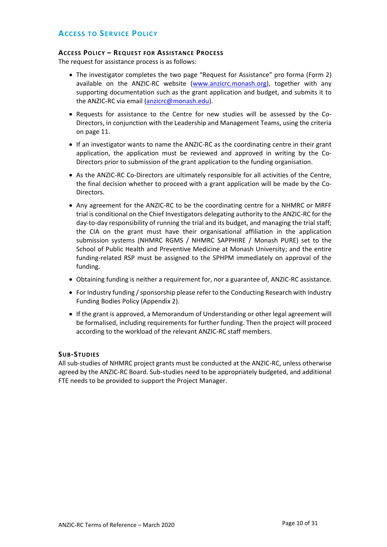## <span id="page-9-0"></span>**ACCESS TO SERVICE POLICY**

### <span id="page-9-1"></span>**ACCESS POLICY – REQUEST FOR ASSISTANCE PROCESS**

The request for assistance process is as follows:

- The investigator completes the two page "Request for Assistance" pro forma (Form 2) available on the ANZIC-RC website [\(www.anzicrc.monash.org\)](http://www.anzicrc.monash.org/), together with any supporting documentation such as the grant application and budget, and submits it to the ANZIC-RC via email [\(anzicrc@monash.edu\)](mailto:anzicrc@monash.edu).
- Requests for assistance to the Centre for new studies will be assessed by the Co-Directors, in conjunction with the Leadership and Management Teams, using the criteria on page 11.
- If an investigator wants to name the ANZIC-RC as the coordinating centre in their grant application, the application must be reviewed and approved in writing by the Co-Directors prior to submission of the grant application to the funding organisation.
- As the ANZIC-RC Co-Directors are ultimately responsible for all activities of the Centre, the final decision whether to proceed with a grant application will be made by the Co-Directors.
- Any agreement for the ANZIC-RC to be the coordinating centre for a NHMRC or MRFF trial is conditional on the Chief Investigators delegating authority to the ANZIC-RC for the day-to-day responsibility of running the trial and its budget, and managing the trial staff; the CIA on the grant must have their organisational affiliation in the application submission systems (NHMRC RGMS / NHMRC SAPPHIRE / Monash PURE) set to the School of Public Health and Preventive Medicine at Monash University; and the entire funding-related RSP must be assigned to the SPHPM immediately on approval of the funding.
- Obtaining funding is neither a requirement for, nor a guarantee of, ANZIC-RC assistance.
- For Industry funding / sponsorship please refer to the Conducting Research with Industry Funding Bodies Policy (Appendix 2).
- If the grant is approved, a Memorandum of Understanding or other legal agreement will be formalised, including requirements for further funding. Then the project will proceed according to the workload of the relevant ANZIC-RC staff members.

### <span id="page-9-2"></span>**SUB-STUDIES**

All sub-studies of NHMRC project grants must be conducted at the ANZIC-RC, unless otherwise agreed by the ANZIC-RC Board. Sub-studies need to be appropriately budgeted, and additional FTE needs to be provided to support the Project Manager.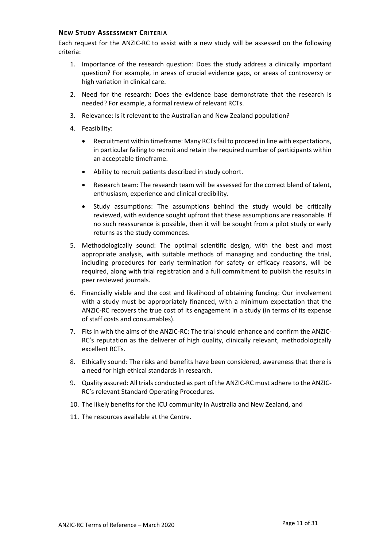### <span id="page-10-0"></span>**NEW STUDY ASSESSMENT CRITERIA**

Each request for the ANZIC-RC to assist with a new study will be assessed on the following criteria:

- 1. Importance of the research question: Does the study address a clinically important question? For example, in areas of crucial evidence gaps, or areas of controversy or high variation in clinical care.
- 2. Need for the research: Does the evidence base demonstrate that the research is needed? For example, a formal review of relevant RCTs.
- 3. Relevance: Is it relevant to the Australian and New Zealand population?
- 4. Feasibility:
	- Recruitment within timeframe: Many RCTs fail to proceed in line with expectations, in particular failing to recruit and retain the required number of participants within an acceptable timeframe.
	- Ability to recruit patients described in study cohort.
	- Research team: The research team will be assessed for the correct blend of talent, enthusiasm, experience and clinical credibility.
	- Study assumptions: The assumptions behind the study would be critically reviewed, with evidence sought upfront that these assumptions are reasonable. If no such reassurance is possible, then it will be sought from a pilot study or early returns as the study commences.
- 5. Methodologically sound: The optimal scientific design, with the best and most appropriate analysis, with suitable methods of managing and conducting the trial, including procedures for early termination for safety or efficacy reasons, will be required, along with trial registration and a full commitment to publish the results in peer reviewed journals.
- 6. Financially viable and the cost and likelihood of obtaining funding: Our involvement with a study must be appropriately financed, with a minimum expectation that the ANZIC-RC recovers the true cost of its engagement in a study (in terms of its expense of staff costs and consumables).
- 7. Fits in with the aims of the ANZIC-RC: The trial should enhance and confirm the ANZIC-RC's reputation as the deliverer of high quality, clinically relevant, methodologically excellent RCTs.
- 8. Ethically sound: The risks and benefits have been considered, awareness that there is a need for high ethical standards in research.
- 9. Quality assured: All trials conducted as part of the ANZIC-RC must adhere to the ANZIC-RC's relevant Standard Operating Procedures.
- 10. The likely benefits for the ICU community in Australia and New Zealand, and
- 11. The resources available at the Centre.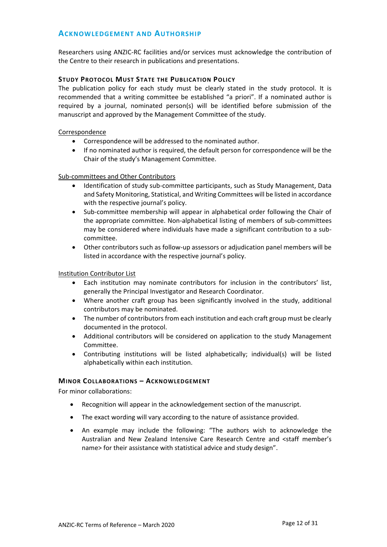## <span id="page-11-0"></span>**ACKNOWLEDGEMENT AND AUTHORSHIP**

Researchers using ANZIC-RC facilities and/or services must acknowledge the contribution of the Centre to their research in publications and presentations.

## <span id="page-11-1"></span>**STUDY PROTOCOL MUST STATE THE PUBLICATION POLICY**

The publication policy for each study must be clearly stated in the study protocol. It is recommended that a writing committee be established "a priori". If a nominated author is required by a journal, nominated person(s) will be identified before submission of the manuscript and approved by the Management Committee of the study.

#### Correspondence

- Correspondence will be addressed to the nominated author.
- If no nominated author is required, the default person for correspondence will be the Chair of the study's Management Committee.

#### Sub-committees and Other Contributors

- Identification of study sub-committee participants, such as Study Management, Data and Safety Monitoring, Statistical, and Writing Committees will be listed in accordance with the respective journal's policy.
- Sub-committee membership will appear in alphabetical order following the Chair of the appropriate committee. Non-alphabetical listing of members of sub-committees may be considered where individuals have made a significant contribution to a subcommittee.
- Other contributors such as follow-up assessors or adjudication panel members will be listed in accordance with the respective journal's policy.

#### Institution Contributor List

- Each institution may nominate contributors for inclusion in the contributors' list, generally the Principal Investigator and Research Coordinator.
- Where another craft group has been significantly involved in the study, additional contributors may be nominated.
- The number of contributors from each institution and each craft group must be clearly documented in the protocol.
- Additional contributors will be considered on application to the study Management Committee.
- Contributing institutions will be listed alphabetically; individual(s) will be listed alphabetically within each institution.

### <span id="page-11-2"></span>**MINOR COLLABORATIONS – ACKNOWLEDGEMENT**

For minor collaborations:

- Recognition will appear in the acknowledgement section of the manuscript.
- The exact wording will vary according to the nature of assistance provided.
- An example may include the following: "The authors wish to acknowledge the Australian and New Zealand Intensive Care Research Centre and <staff member's name> for their assistance with statistical advice and study design".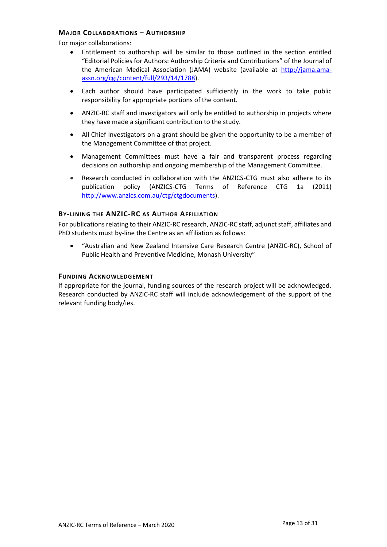## <span id="page-12-0"></span>**MAJOR COLLABORATIONS – AUTHORSHIP**

For major collaborations:

- Entitlement to authorship will be similar to those outlined in the section entitled "Editorial Policies for Authors: Authorship Criteria and Contributions" of the Journal of the American Medical Association (JAMA) website (available at [http://jama.ama](http://jama.ama-assn.org/cgi/content/full/293/14/1788)[assn.org/cgi/content/full/293/14/1788\)](http://jama.ama-assn.org/cgi/content/full/293/14/1788).
- Each author should have participated sufficiently in the work to take public responsibility for appropriate portions of the content.
- ANZIC-RC staff and investigators will only be entitled to authorship in projects where they have made a significant contribution to the study.
- All Chief Investigators on a grant should be given the opportunity to be a member of the Management Committee of that project.
- Management Committees must have a fair and transparent process regarding decisions on authorship and ongoing membership of the Management Committee.
- Research conducted in collaboration with the ANZICS-CTG must also adhere to its publication policy (ANZICS-CTG Terms of Reference CTG 1a (2011) [http://www.anzics.com.au/ctg/ctgdocuments\)](http://www.anzics.com.au/ctg/ctgdocuments).

## <span id="page-12-1"></span>**BY-LINING THE ANZIC-RC AS AUTHOR AFFILIATION**

For publications relating to their ANZIC-RC research, ANZIC-RC staff, adjunct staff, affiliates and PhD students must by-line the Centre as an affiliation as follows:

• "Australian and New Zealand Intensive Care Research Centre (ANZIC-RC), School of Public Health and Preventive Medicine, Monash University"

### <span id="page-12-2"></span>**FUNDING ACKNOWLEDGEMENT**

If appropriate for the journal, funding sources of the research project will be acknowledged. Research conducted by ANZIC-RC staff will include acknowledgement of the support of the relevant funding body/ies.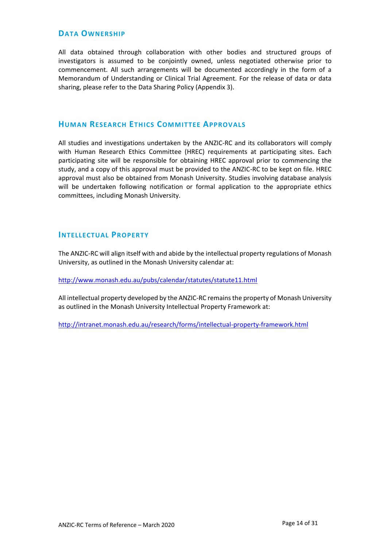## <span id="page-13-0"></span>**DATA OWNERSHIP**

All data obtained through collaboration with other bodies and structured groups of investigators is assumed to be conjointly owned, unless negotiated otherwise prior to commencement. All such arrangements will be documented accordingly in the form of a Memorandum of Understanding or Clinical Trial Agreement. For the release of data or data sharing, please refer to the Data Sharing Policy (Appendix 3).

## <span id="page-13-1"></span>**HUMAN RESEARCH ETHICS COMMITTEE APPROVALS**

All studies and investigations undertaken by the ANZIC-RC and its collaborators will comply with Human Research Ethics Committee (HREC) requirements at participating sites. Each participating site will be responsible for obtaining HREC approval prior to commencing the study, and a copy of this approval must be provided to the ANZIC-RC to be kept on file. HREC approval must also be obtained from Monash University. Studies involving database analysis will be undertaken following notification or formal application to the appropriate ethics committees, including Monash University.

## <span id="page-13-2"></span>**INTELLECTUAL PROPERTY**

The ANZIC-RC will align itself with and abide by the intellectual property regulations of Monash University, as outlined in the Monash University calendar at:

<http://www.monash.edu.au/pubs/calendar/statutes/statute11.html>

All intellectual property developed by the ANZIC-RC remains the property of Monash University as outlined in the Monash University Intellectual Property Framework at:

<http://intranet.monash.edu.au/research/forms/intellectual-property-framework.html>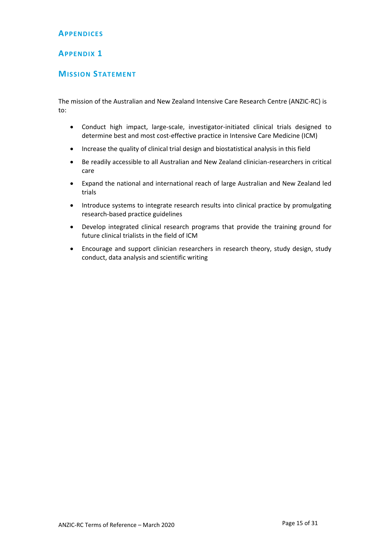## <span id="page-14-0"></span>**APPENDICES**

## <span id="page-14-1"></span>**APPENDIX 1**

## <span id="page-14-2"></span>**MISSION STATEMENT**

The mission of the Australian and New Zealand Intensive Care Research Centre (ANZIC-RC) is to:

- Conduct high impact, large-scale, investigator-initiated clinical trials designed to determine best and most cost-effective practice in Intensive Care Medicine (ICM)
- Increase the quality of clinical trial design and biostatistical analysis in this field
- Be readily accessible to all Australian and New Zealand clinician-researchers in critical care
- Expand the national and international reach of large Australian and New Zealand led trials
- Introduce systems to integrate research results into clinical practice by promulgating research-based practice guidelines
- Develop integrated clinical research programs that provide the training ground for future clinical trialists in the field of ICM
- Encourage and support clinician researchers in research theory, study design, study conduct, data analysis and scientific writing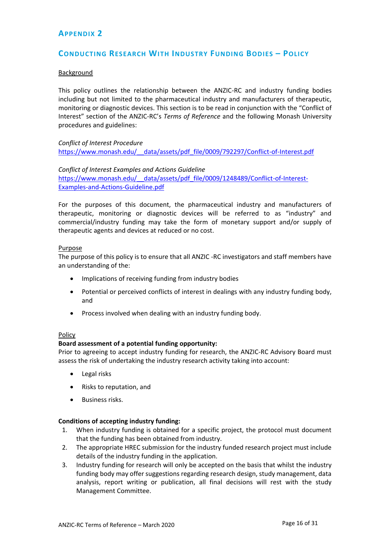## <span id="page-15-0"></span>**APPENDIX 2**

## <span id="page-15-1"></span>**CONDUCTING RESEARCH WITH INDUSTRY FUNDING BODIES – POLICY**

#### Background

This policy outlines the relationship between the ANZIC-RC and industry funding bodies including but not limited to the pharmaceutical industry and manufacturers of therapeutic, monitoring or diagnostic devices. This section is to be read in conjunction with the "Conflict of Interest" section of the ANZIC-RC's *Terms of Reference* and the following Monash University procedures and guidelines:

#### *Conflict of Interest Procedure*

[https://www.monash.edu/\\_\\_data/assets/pdf\\_file/0009/792297/Conflict-of-Interest.pdf](https://www.monash.edu/__data/assets/pdf_file/0009/792297/Conflict-of-Interest.pdf)

## *Conflict of Interest Examples and Actions Guideline* https://www.monash.edu/ data/assets/pdf file/0009/1248489/Conflict-of-Interest-[Examples-and-Actions-Guideline.pdf](https://www.monash.edu/__data/assets/pdf_file/0009/1248489/Conflict-of-Interest-Examples-and-Actions-Guideline.pdf)

For the purposes of this document, the pharmaceutical industry and manufacturers of therapeutic, monitoring or diagnostic devices will be referred to as "industry" and commercial/industry funding may take the form of monetary support and/or supply of therapeutic agents and devices at reduced or no cost.

#### Purpose

The purpose of this policy is to ensure that all ANZIC -RC investigators and staff members have an understanding of the:

- Implications of receiving funding from industry bodies
- Potential or perceived conflicts of interest in dealings with any industry funding body, and
- Process involved when dealing with an industry funding body.

#### Policy

### **Board assessment of a potential funding opportunity:**

Prior to agreeing to accept industry funding for research, the ANZIC-RC Advisory Board must assess the risk of undertaking the industry research activity taking into account:

- Legal risks
- Risks to reputation, and
- Business risks.

### **Conditions of accepting industry funding:**

- 1. When industry funding is obtained for a specific project, the protocol must document that the funding has been obtained from industry.
- 2. The appropriate HREC submission for the industry funded research project must include details of the industry funding in the application.
- 3. Industry funding for research will only be accepted on the basis that whilst the industry funding body may offer suggestions regarding research design, study management, data analysis, report writing or publication, all final decisions will rest with the study Management Committee.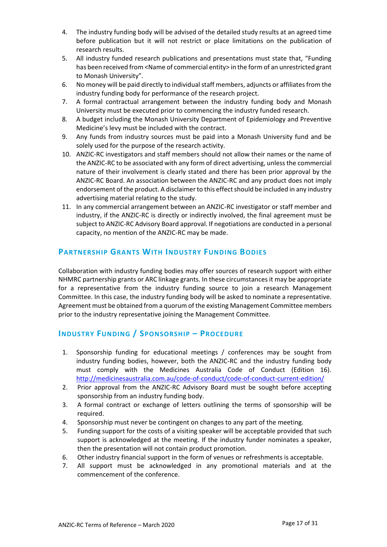- 4. The industry funding body will be advised of the detailed study results at an agreed time before publication but it will not restrict or place limitations on the publication of research results.
- 5. All industry funded research publications and presentations must state that, "Funding has been received from <Name of commercial entity> in the form of an unrestricted grant to Monash University".
- 6. No money will be paid directly to individual staff members, adjuncts or affiliates from the industry funding body for performance of the research project.
- 7. A formal contractual arrangement between the industry funding body and Monash University must be executed prior to commencing the industry funded research.
- 8. A budget including the Monash University Department of Epidemiology and Preventive Medicine's levy must be included with the contract.
- 9. Any funds from industry sources must be paid into a Monash University fund and be solely used for the purpose of the research activity.
- 10. ANZIC-RC investigators and staff members should not allow their names or the name of the ANZIC-RC to be associated with any form of direct advertising, unless the commercial nature of their involvement is clearly stated and there has been prior approval by the ANZIC-RC Board. An association between the ANZIC-RC and any product does not imply endorsement of the product. A disclaimer to this effect should be included in any industry advertising material relating to the study.
- 11. In any commercial arrangement between an ANZIC-RC investigator or staff member and industry, if the ANZIC-RC is directly or indirectly involved, the final agreement must be subject to ANZIC-RC Advisory Board approval. If negotiations are conducted in a personal capacity, no mention of the ANZIC-RC may be made.

## <span id="page-16-0"></span>**PARTNERSHIP GRANTS WITH INDUSTRY FUNDING BODIES**

Collaboration with industry funding bodies may offer sources of research support with either NHMRC partnership grants or ARC linkage grants. In these circumstances it may be appropriate for a representative from the industry funding source to join a research Management Committee. In this case, the industry funding body will be asked to nominate a representative. Agreement must be obtained from a quorum of the existing Management Committee members prior to the industry representative joining the Management Committee.

## <span id="page-16-1"></span>**INDUSTRY FUNDING / SPONSORSHIP – PROCEDURE**

- 1. Sponsorship funding for educational meetings / conferences may be sought from industry funding bodies, however, both the ANZIC-RC and the industry funding body must comply with the Medicines Australia Code of Conduct (Edition 16). <http://medicinesaustralia.com.au/code-of-conduct/code-of-conduct-current-edition/>
- 2. Prior approval from the ANZIC-RC Advisory Board must be sought before accepting sponsorship from an industry funding body.
- 3. A formal contract or exchange of letters outlining the terms of sponsorship will be required.
- 4. Sponsorship must never be contingent on changes to any part of the meeting.
- 5. Funding support for the costs of a visiting speaker will be acceptable provided that such support is acknowledged at the meeting. If the industry funder nominates a speaker, then the presentation will not contain product promotion.
- 6. Other industry financial support in the form of venues or refreshments is acceptable.
- 7. All support must be acknowledged in any promotional materials and at the commencement of the conference.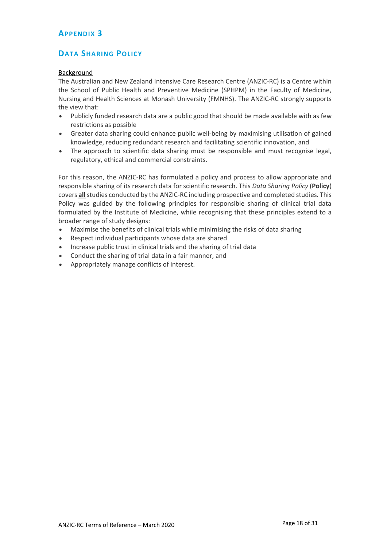## <span id="page-17-0"></span>**APPENDIX 3**

## <span id="page-17-1"></span>**DATA SHARING POLICY**

## Background

The Australian and New Zealand Intensive Care Research Centre (ANZIC-RC) is a Centre within the School of Public Health and Preventive Medicine (SPHPM) in the Faculty of Medicine, Nursing and Health Sciences at Monash University (FMNHS). The ANZIC-RC strongly supports the view that:

- Publicly funded research data are a public good that should be made available with as few restrictions as possible
- Greater data sharing could enhance public well‐being by maximising utilisation of gained knowledge, reducing redundant research and facilitating scientific innovation, and
- The approach to scientific data sharing must be responsible and must recognise legal, regulatory, ethical and commercial constraints.

For this reason, the ANZIC-RC has formulated a policy and process to allow appropriate and responsible sharing of its research data for scientific research. This *Data Sharing Policy* (**Policy**) covers **all**studies conducted by the ANZIC-RC including prospective and completed studies. This Policy was guided by the following principles for responsible sharing of clinical trial data formulated by the Institute of Medicine, while recognising that these principles extend to a broader range of study designs:

- Maximise the benefits of clinical trials while minimising the risks of data sharing
- Respect individual participants whose data are shared
- Increase public trust in clinical trials and the sharing of trial data
- Conduct the sharing of trial data in a fair manner, and
- Appropriately manage conflicts of interest.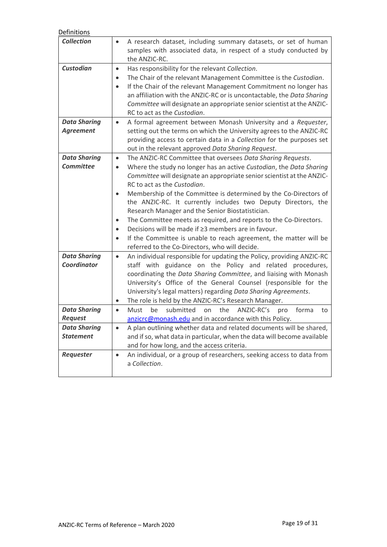| Definitions                               |                                                                                                                                                                                                                                                                                                                                                                                                                                                                                                                                                                                                                                                                                                                                                  |
|-------------------------------------------|--------------------------------------------------------------------------------------------------------------------------------------------------------------------------------------------------------------------------------------------------------------------------------------------------------------------------------------------------------------------------------------------------------------------------------------------------------------------------------------------------------------------------------------------------------------------------------------------------------------------------------------------------------------------------------------------------------------------------------------------------|
| <b>Collection</b>                         | A research dataset, including summary datasets, or set of human<br>samples with associated data, in respect of a study conducted by<br>the ANZIC-RC.                                                                                                                                                                                                                                                                                                                                                                                                                                                                                                                                                                                             |
| <b>Custodian</b>                          | Has responsibility for the relevant Collection.<br>$\bullet$<br>The Chair of the relevant Management Committee is the Custodian.<br>٠<br>If the Chair of the relevant Management Commitment no longer has<br>$\bullet$<br>an affiliation with the ANZIC-RC or is uncontactable, the Data Sharing<br>Committee will designate an appropriate senior scientist at the ANZIC-<br>RC to act as the Custodian.                                                                                                                                                                                                                                                                                                                                        |
| <b>Data Sharing</b><br><b>Agreement</b>   | A formal agreement between Monash University and a Requester,<br>$\bullet$<br>setting out the terms on which the University agrees to the ANZIC-RC<br>providing access to certain data in a Collection for the purposes set<br>out in the relevant approved Data Sharing Request.                                                                                                                                                                                                                                                                                                                                                                                                                                                                |
| <b>Data Sharing</b><br><b>Committee</b>   | The ANZIC-RC Committee that oversees Data Sharing Requests.<br>$\bullet$<br>Where the study no longer has an active Custodian, the Data Sharing<br>$\bullet$<br>Committee will designate an appropriate senior scientist at the ANZIC-<br>RC to act as the Custodian.<br>Membership of the Committee is determined by the Co-Directors of<br>the ANZIC-RC. It currently includes two Deputy Directors, the<br>Research Manager and the Senior Biostatistician.<br>The Committee meets as required, and reports to the Co-Directors.<br>٠<br>Decisions will be made if ≥3 members are in favour.<br>$\bullet$<br>If the Committee is unable to reach agreement, the matter will be<br>$\bullet$<br>referred to the Co-Directors, who will decide. |
| <b>Data Sharing</b><br><b>Coordinator</b> | An individual responsible for updating the Policy, providing ANZIC-RC<br>$\bullet$<br>staff with guidance on the Policy and related procedures,<br>coordinating the Data Sharing Committee, and liaising with Monash<br>University's Office of the General Counsel (responsible for the<br>University's legal matters) regarding Data Sharing Agreements.<br>The role is held by the ANZIC-RC's Research Manager.<br>$\bullet$                                                                                                                                                                                                                                                                                                                   |
| <b>Data Sharing</b><br><b>Request</b>     | submitted<br>ANZIC-RC's<br>Must<br>be<br>the<br>on<br>forma<br>pro<br>to<br>$\bullet$<br>$anzicrc@monash.edu$ and in accordance with this Policy.                                                                                                                                                                                                                                                                                                                                                                                                                                                                                                                                                                                                |
| <b>Data Sharing</b><br><b>Statement</b>   | A plan outlining whether data and related documents will be shared,<br>$\bullet$<br>and if so, what data in particular, when the data will become available<br>and for how long, and the access criteria.                                                                                                                                                                                                                                                                                                                                                                                                                                                                                                                                        |
| Requester                                 | An individual, or a group of researchers, seeking access to data from<br>$\bullet$<br>a Collection.                                                                                                                                                                                                                                                                                                                                                                                                                                                                                                                                                                                                                                              |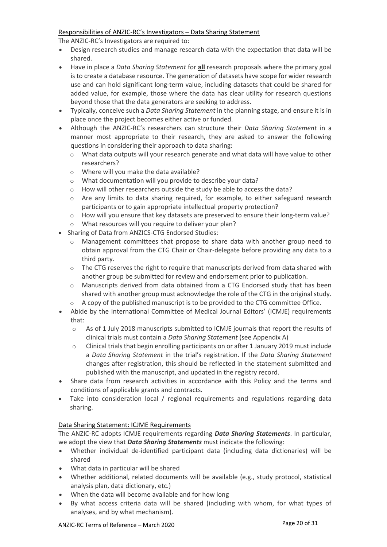## Responsibilities of ANZIC-RC's Investigators – Data Sharing Statement

The ANZIC-RC's Investigators are required to:

- Design research studies and manage research data with the expectation that data will be shared.
- Have in place a *Data Sharing Statement* for **all** research proposals where the primary goal is to create a database resource. The generation of datasets have scope for wider research use and can hold significant long‐term value, including datasets that could be shared for added value, for example, those where the data has clear utility for research questions beyond those that the data generators are seeking to address.
- Typically, conceive such a *Data Sharing Statement* in the planning stage, and ensure it is in place once the project becomes either active or funded.
- Although the ANZIC-RC's researchers can structure their *Data Sharing Statement* in a manner most appropriate to their research, they are asked to answer the following questions in considering their approach to data sharing:
	- $\circ$  What data outputs will your research generate and what data will have value to other researchers?
	- o Where will you make the data available?
	- o What documentation will you provide to describe your data?
	- o How will other researchers outside the study be able to access the data?
	- o Are any limits to data sharing required, for example, to either safeguard research participants or to gain appropriate intellectual property protection?
	- o How will you ensure that key datasets are preserved to ensure their long‐term value?
	- o What resources will you require to deliver your plan?
- Sharing of Data from ANZICS-CTG Endorsed Studies:
	- o Management committees that propose to share data with another group need to obtain approval from the CTG Chair or Chair-delegate before providing any data to a third party.
	- $\circ$  The CTG reserves the right to require that manuscripts derived from data shared with another group be submitted for review and endorsement prior to publication.
	- $\circ$  Manuscripts derived from data obtained from a CTG Endorsed study that has been shared with another group must acknowledge the role of the CTG in the original study.
	- $\circ$  A copy of the published manuscript is to be provided to the CTG committee Office.
- Abide by the International Committee of Medical Journal Editors' (ICMJE) requirements that:
	- o As of 1 July 2018 manuscripts submitted to ICMJE journals that report the results of clinical trials must contain a *Data Sharing Statement* (see Appendix A)
	- o Clinical trials that begin enrolling participants on or after 1 January 2019 must include a *Data Sharing Statement* in the trial's registration. If the *Data Sharing Statement* changes after registration, this should be reflected in the statement submitted and published with the manuscript, and updated in the registry record.
- Share data from research activities in accordance with this Policy and the terms and conditions of applicable grants and contracts.
- Take into consideration local / regional requirements and regulations regarding data sharing.

## Data Sharing Statement: ICJME Requirements

The ANZIC-RC adopts ICMJE requirements regarding *Data Sharing Statements*. In particular, we adopt the view that *Data Sharing Statements* must indicate the following:

- Whether individual de-identified participant data (including data dictionaries) will be shared
- What data in particular will be shared
- Whether additional, related documents will be available (e.g., study protocol, statistical analysis plan, data dictionary, etc.)
- When the data will become available and for how long
- By what access criteria data will be shared (including with whom, for what types of analyses, and by what mechanism).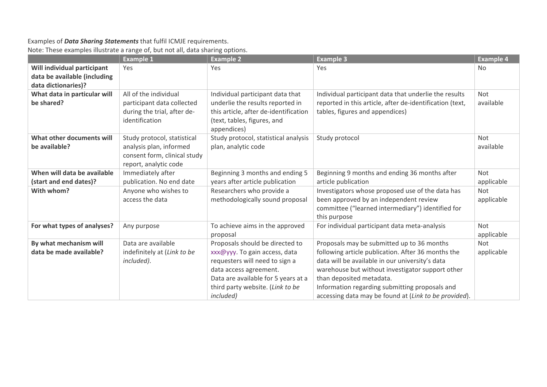# Examples of *Data Sharing Statements* that fulfil ICMJE requirements.

## Note: These examples illustrate a range of, but not all, data sharing options.

|                                                                                    | <b>Example 1</b>                                                                                                | <b>Example 2</b>                                                                                                                                                                                                             | <b>Example 3</b>                                                                                                                                                                                                                                                                                                                               | <b>Example 4</b>         |
|------------------------------------------------------------------------------------|-----------------------------------------------------------------------------------------------------------------|------------------------------------------------------------------------------------------------------------------------------------------------------------------------------------------------------------------------------|------------------------------------------------------------------------------------------------------------------------------------------------------------------------------------------------------------------------------------------------------------------------------------------------------------------------------------------------|--------------------------|
| Will individual participant<br>data be available (including<br>data dictionaries)? | Yes                                                                                                             | Yes                                                                                                                                                                                                                          | Yes                                                                                                                                                                                                                                                                                                                                            | <b>No</b>                |
| What data in particular will<br>be shared?                                         | All of the individual<br>participant data collected<br>during the trial, after de-<br>identification            | Individual participant data that<br>underlie the results reported in<br>this article, after de-identification<br>(text, tables, figures, and<br>appendices)                                                                  | Individual participant data that underlie the results<br>reported in this article, after de-identification (text,<br>tables, figures and appendices)                                                                                                                                                                                           | <b>Not</b><br>available  |
| What other documents will<br>be available?                                         | Study protocol, statistical<br>analysis plan, informed<br>consent form, clinical study<br>report, analytic code | Study protocol, statistical analysis<br>plan, analytic code                                                                                                                                                                  | Study protocol                                                                                                                                                                                                                                                                                                                                 | <b>Not</b><br>available  |
| When will data be available<br>(start and end dates)?                              | Immediately after<br>publication. No end date                                                                   | Beginning 3 months and ending 5<br>years after article publication                                                                                                                                                           | Beginning 9 months and ending 36 months after<br>article publication                                                                                                                                                                                                                                                                           | <b>Not</b><br>applicable |
| With whom?                                                                         | Anyone who wishes to<br>access the data                                                                         | Researchers who provide a<br>methodologically sound proposal                                                                                                                                                                 | Investigators whose proposed use of the data has<br>been approved by an independent review<br>committee ("learned intermediary") identified for<br>this purpose                                                                                                                                                                                | Not<br>applicable        |
| For what types of analyses?                                                        | Any purpose                                                                                                     | To achieve aims in the approved<br>proposal                                                                                                                                                                                  | For individual participant data meta-analysis                                                                                                                                                                                                                                                                                                  | <b>Not</b><br>applicable |
| By what mechanism will<br>data be made available?                                  | Data are available<br>indefinitely at (Link to be<br>included).                                                 | Proposals should be directed to<br>xxx@yyy. To gain access, data<br>requesters will need to sign a<br>data access agreement.<br>Data are available for 5 years at a<br>third party website. (Link to be<br><i>included</i> ) | Proposals may be submitted up to 36 months<br>following article publication. After 36 months the<br>data will be available in our university's data<br>warehouse but without investigator support other<br>than deposited metadata.<br>Information regarding submitting proposals and<br>accessing data may be found at (Link to be provided). | Not<br>applicable        |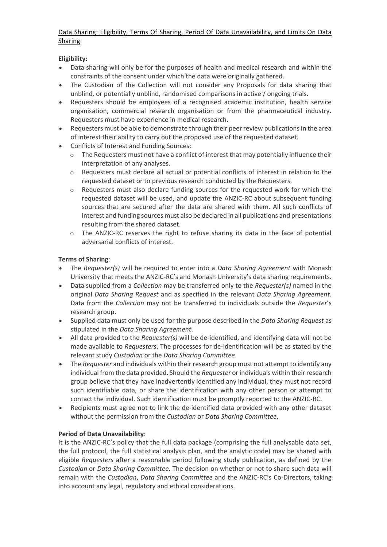## Data Sharing: Eligibility, Terms Of Sharing, Period Of Data Unavailability, and Limits On Data Sharing

## **Eligibility:**

- Data sharing will only be for the purposes of health and medical research and within the constraints of the consent under which the data were originally gathered.
- The Custodian of the Collection will not consider any Proposals for data sharing that unblind, or potentially unblind, randomised comparisons in active / ongoing trials.
- Requesters should be employees of a recognised academic institution, health service organisation, commercial research organisation or from the pharmaceutical industry. Requesters must have experience in medical research.
- Requesters must be able to demonstrate through their peer review publications in the area of interest their ability to carry out the proposed use of the requested dataset.
- Conflicts of Interest and Funding Sources:
	- $\circ$  The Requesters must not have a conflict of interest that may potentially influence their interpretation of any analyses.
	- $\circ$  Requesters must declare all actual or potential conflicts of interest in relation to the requested dataset or to previous research conducted by the Requesters.
	- $\circ$  Requesters must also declare funding sources for the requested work for which the requested dataset will be used, and update the ANZIC-RC about subsequent funding sources that are secured after the data are shared with them. All such conflicts of interest and funding sources must also be declared in all publications and presentations resulting from the shared dataset.
	- $\circ$  The ANZIC-RC reserves the right to refuse sharing its data in the face of potential adversarial conflicts of interest.

## **Terms of Sharing**:

- The *Requester(s)* will be required to enter into a *Data Sharing Agreement* with Monash University that meets the ANZIC-RC's and Monash University's data sharing requirements.
- Data supplied from a *Collection* may be transferred only to the *Requester(s)* named in the original *Data Sharing Request* and as specified in the relevant *Data Sharing Agreement*. Data from the *Collection* may not be transferred to individuals outside the *Requester*'s research group.
- Supplied data must only be used for the purpose described in the *Data Sharing Request* as stipulated in the *Data Sharing Agreement*.
- All data provided to the *Requester(s)* will be de‐identified, and identifying data will not be made available to *Requesters*. The processes for de‐identification will be as stated by the relevant study *Custodian* or the *Data Sharing Committee*.
- The *Requester* and individuals within their research group must not attempt to identify any individual from the data provided. Should the *Requester* or individuals within their research group believe that they have inadvertently identified any individual, they must not record such identifiable data, or share the identification with any other person or attempt to contact the individual. Such identification must be promptly reported to the ANZIC-RC.
- Recipients must agree not to link the de-identified data provided with any other dataset without the permission from the *Custodian* or *Data Sharing Committee*.

## **Period of Data Unavailability**:

It is the ANZIC-RC's policy that the full data package (comprising the full analysable data set, the full protocol, the full statistical analysis plan, and the analytic code) may be shared with eligible *Requesters* after a reasonable period following study publication, as defined by the *Custodian* or *Data Sharing Committee*. The decision on whether or not to share such data will remain with the *Custodian*, *Data Sharing Committee* and the ANZIC-RC's Co-Directors, taking into account any legal, regulatory and ethical considerations.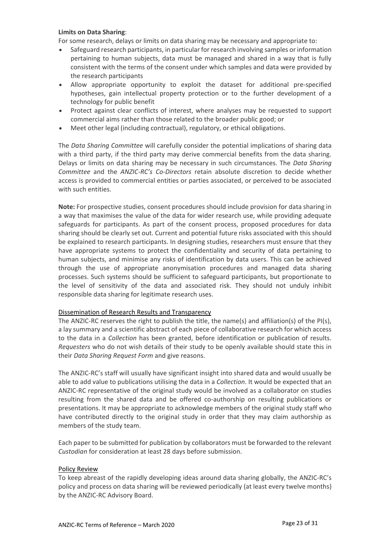## **Limits on Data Sharing**:

For some research, delays or limits on data sharing may be necessary and appropriate to:

- Safeguard research participants, in particular for research involving samples or information pertaining to human subjects, data must be managed and shared in a way that is fully consistent with the terms of the consent under which samples and data were provided by the research participants
- Allow appropriate opportunity to exploit the dataset for additional pre‐specified hypotheses, gain intellectual property protection or to the further development of a technology for public benefit
- Protect against clear conflicts of interest, where analyses may be requested to support commercial aims rather than those related to the broader public good; or
- Meet other legal (including contractual), regulatory, or ethical obligations.

The *Data Sharing Committee* will carefully consider the potential implications of sharing data with a third party, if the third party may derive commercial benefits from the data sharing. Delays or limits on data sharing may be necessary in such circumstances. The *Data Sharing Committee* and the *ANZIC-RC's Co-Directors* retain absolute discretion to decide whether access is provided to commercial entities or parties associated, or perceived to be associated with such entities.

**Note:** For prospective studies, consent procedures should include provision for data sharing in a way that maximises the value of the data for wider research use, while providing adequate safeguards for participants. As part of the consent process, proposed procedures for data sharing should be clearly set out. Current and potential future risks associated with this should be explained to research participants. In designing studies, researchers must ensure that they have appropriate systems to protect the confidentiality and security of data pertaining to human subjects, and minimise any risks of identification by data users. This can be achieved through the use of appropriate anonymisation procedures and managed data sharing processes. Such systems should be sufficient to safeguard participants, but proportionate to the level of sensitivity of the data and associated risk. They should not unduly inhibit responsible data sharing for legitimate research uses.

### Dissemination of Research Results and Transparency

The ANZIC-RC reserves the right to publish the title, the name(s) and affiliation(s) of the PI(s), a lay summary and a scientific abstract of each piece of collaborative research for which access to the data in a *Collection* has been granted, before identification or publication of results. *Requesters* who do not wish details of their study to be openly available should state this in their *Data Sharing Request Form* and give reasons.

The ANZIC-RC's staff will usually have significant insight into shared data and would usually be able to add value to publications utilising the data in a *Collection*. It would be expected that an ANZIC-RC representative of the original study would be involved as a collaborator on studies resulting from the shared data and be offered co-authorship on resulting publications or presentations. It may be appropriate to acknowledge members of the original study staff who have contributed directly to the original study in order that they may claim authorship as members of the study team.

Each paper to be submitted for publication by collaborators must be forwarded to the relevant *Custodian* for consideration at least 28 days before submission.

### Policy Review

To keep abreast of the rapidly developing ideas around data sharing globally, the ANZIC-RC's policy and process on data sharing will be reviewed periodically (at least every twelve months) by the ANZIC-RC Advisory Board.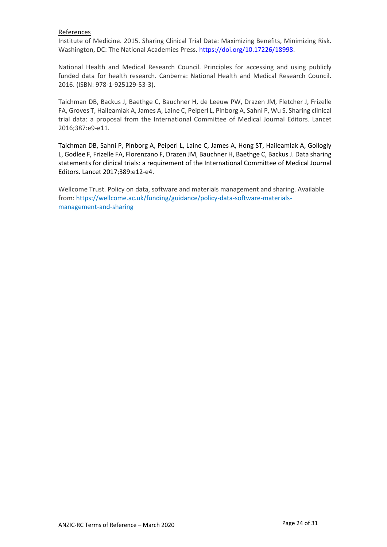## References

Institute of Medicine. 2015. Sharing Clinical Trial Data: Maximizing Benefits, Minimizing Risk. Washington, DC: The National Academies Press. [https://doi.org/10.17226/18998.](https://doi.org/10.17226/18998)

National Health and Medical Research Council. Principles for accessing and using publicly funded data for health research. Canberra: National Health and Medical Research Council. 2016. (ISBN: 978-1-925129-53-3).

Taichman DB, Backus J, Baethge C, Bauchner H, de Leeuw PW, Drazen JM, Fletcher J, Frizelle FA, Groves T, Haileamlak A, James A, Laine C, Peiperl L, Pinborg A, Sahni P, Wu S. Sharing clinical trial data: a proposal from the International Committee of Medical Journal Editors. Lancet 2016;387:e9-e11.

Taichman DB, Sahni P, Pinborg A, Peiperl L, Laine C, James A, Hong ST, Haileamlak A, Gollogly L, Godlee F, Frizelle FA, Florenzano F, Drazen JM, Bauchner H, Baethge C, Backus J. Data sharing statements for clinical trials: a requirement of the International Committee of Medical Journal Editors. Lancet 2017;389:e12-e4.

Wellcome Trust. Policy on data, software and materials management and sharing. Available from: [https://wellcome.ac.uk/funding/guidance/policy-data-software-materials](https://wellcome.ac.uk/funding/guidance/policy-data-software-materials-management-and-sharing)[management-and-sharing](https://wellcome.ac.uk/funding/guidance/policy-data-software-materials-management-and-sharing)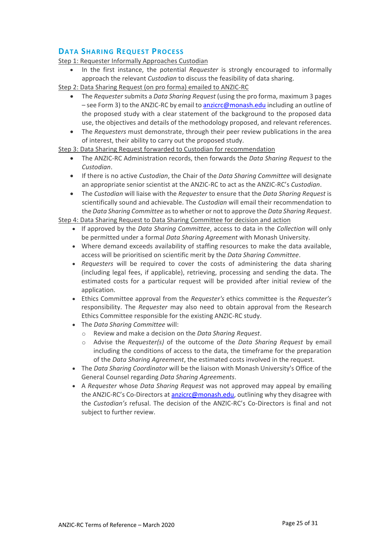## <span id="page-24-0"></span>**DATA SHARING REQUEST PROCESS**

Step 1: Requester Informally Approaches Custodian

- In the first instance, the potential *Requester* is strongly encouraged to informally approach the relevant *Custodian* to discuss the feasibility of data sharing.
- Step 2: Data Sharing Request (on pro forma) emailed to ANZIC-RC
	- The *Requester*submits a *Data Sharing Request* (using the pro forma, maximum 3 pages – see Form 3) to the ANZIC-RC by email t[o anzicrc@monash.edu](mailto:anzicrc@monash.edu) including an outline of the proposed study with a clear statement of the background to the proposed data use, the objectives and details of the methodology proposed, and relevant references.
	- The *Requesters* must demonstrate, through their peer review publications in the area of interest, their ability to carry out the proposed study.

Step 3: Data Sharing Request forwarded to Custodian for recommendation

- The ANZIC-RC Administration records, then forwards the *Data Sharing Request* to the *Custodian*.
- If there is no active *Custodian*, the Chair of the *Data Sharing Committee* will designate an appropriate senior scientist at the ANZIC-RC to act as the ANZIC-RC's *Custodian*.
- The *Custodian* will liaise with the *Requester* to ensure that the *Data Sharing Request* is scientifically sound and achievable. The *Custodian* will email their recommendation to the *Data Sharing Committee* as to whether or not to approve the *Data Sharing Request*.

Step 4: Data Sharing Request to Data Sharing Committee for decision and action

- If approved by the *Data Sharing Committee*, access to data in the *Collection* will only be permitted under a formal *Data Sharing Agreement* with Monash University.
- Where demand exceeds availability of staffing resources to make the data available, access will be prioritised on scientific merit by the *Data Sharing Committee*.
- *Requesters* will be required to cover the costs of administering the data sharing (including legal fees, if applicable), retrieving, processing and sending the data. The estimated costs for a particular request will be provided after initial review of the application.
- Ethics Committee approval from the *Requester's* ethics committee is the *Requester's* responsibility. The *Requester* may also need to obtain approval from the Research Ethics Committee responsible for the existing ANZIC-RC study.
- The *Data Sharing Committee* will:
	- o Review and make a decision on the *Data Sharing Request*.
	- o Advise the *Requester(s)* of the outcome of the *Data Sharing Request* by email including the conditions of access to the data, the timeframe for the preparation of the *Data Sharing Agreement*, the estimated costs involved in the request.
- The *Data Sharing Coordinator* will be the liaison with Monash University's Office of the General Counsel regarding *Data Sharing Agreements*.
- A *Requester* whose *Data Sharing Request* was not approved may appeal by emailing the ANZIC-RC's Co-Directors at [anzicrc@monash.edu,](mailto:anzicrc@monash.edu) outlining why they disagree with the *Custodian's* refusal. The decision of the ANZIC-RC's Co-Directors is final and not subject to further review.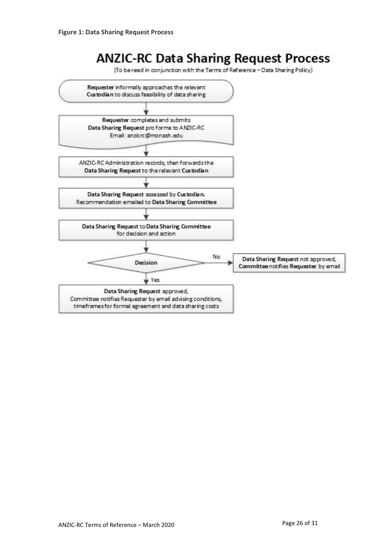# **ANZIC-RC Data Sharing Request Process**

(To be read in conjunction with the Terms of Reference - Data Sharing Policy)

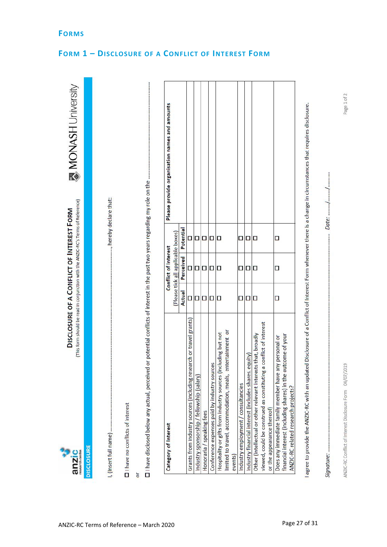| SCLOSURE OF A CONFLICT OF INTEREST FORM<br>en Car<br><b>HINCTION</b> |  |
|----------------------------------------------------------------------|--|
| anzı                                                                 |  |

٩

..., hereby declare that: I, (Insert full name) .......

□ I have no conflicts of interest

or<br>□ I have disclosed below any actual, perceived or potential conflicts of interest in the past two years regarding my role on the ......

| Category of Interest                                                                                                                                               |        | Conflict of Interest               |   | Please provide organisation names and amounts |
|--------------------------------------------------------------------------------------------------------------------------------------------------------------------|--------|------------------------------------|---|-----------------------------------------------|
|                                                                                                                                                                    |        | (Please tick all applicable boxes) |   |                                               |
|                                                                                                                                                                    | Actual | Perceived Potential                |   |                                               |
| Grants from industry sources (including research or travel grants)                                                                                                 | O      | Ω                                  | О |                                               |
| Industry sponsorship / fellowship (salary)                                                                                                                         | Ω      | Ω                                  | Ω |                                               |
| Honoraria / speaking fees                                                                                                                                          | Ω      | Ω                                  | □ |                                               |
| Conference expenses paid by industry sources                                                                                                                       | □      |                                    | α |                                               |
| Hospitality or gifts from industry sources (including but not                                                                                                      | Ω      | □                                  | о |                                               |
| entertainment or<br>limited to travel, accommodation, meals,                                                                                                       |        |                                    |   |                                               |
| events)                                                                                                                                                            |        |                                    |   |                                               |
| Industry employment / consultancies                                                                                                                                | Ω      |                                    | Ω |                                               |
| Industry financial interest (includes shares, equity)                                                                                                              | Ω      |                                    | Ο |                                               |
| Other (intellectual or other relevant interests that, broadly                                                                                                      | Ω      | О                                  | О |                                               |
| viewed, could be construed as constituting a conflict of interest                                                                                                  |        |                                    |   |                                               |
| or the appearance thereof)                                                                                                                                         |        |                                    |   |                                               |
| outcome of your<br>any personal or<br>Does any immediate family member have<br>financial interest (including shares) in the<br>ANZIC-RC related research projects? | Ω      | □                                  | □ |                                               |

l agree to provide the ANZIC-RC with an updated Disclosure of a Conflict of Interest Form whenever there is a change in circumstances that requires disclosure.

Date: ........../. Signature: .....

## <span id="page-26-0"></span>**FORMS**

# <span id="page-26-1"></span>**FORM 1 – DISCLOSURE OF A CONFLICT OF INTEREST FORM**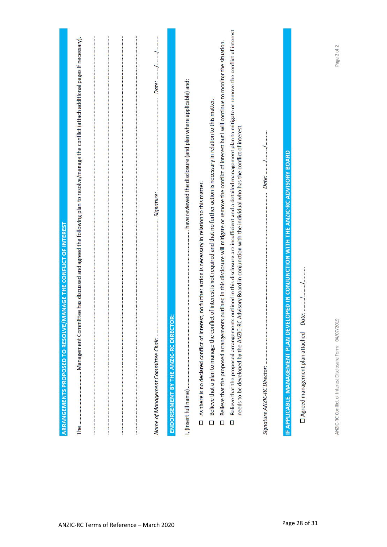| ARRANGEMENTS PROPOSED TO RESOLVE/MANAGE THE CONFLICT OF INTEREST                                                                                                                                                                                                                                         |  |
|----------------------------------------------------------------------------------------------------------------------------------------------------------------------------------------------------------------------------------------------------------------------------------------------------------|--|
| The ……………………………………… Management Committee has discussed and agreed the following plan to resolve/manage the conflict (attach additional pages if necessary).                                                                                                                                              |  |
|                                                                                                                                                                                                                                                                                                          |  |
|                                                                                                                                                                                                                                                                                                          |  |
| ENDORSEMENT BY THE ANZIC-RC DIRECTO                                                                                                                                                                                                                                                                      |  |
|                                                                                                                                                                                                                                                                                                          |  |
| Believe that a plan to manage the conflict of interest is not required and that no further action is necessary in relation to this matter.<br>As there is no declared conflict of interest, no further action is necessary in relation to this matter.<br>$\Box$<br>$\Box$                               |  |
| Believe that the proposed arrangements outlined in this disclosure will mitigate or remove the conflict of interest but I will continue to monitor the situation.<br>$\Box$                                                                                                                              |  |
| Believe that the proposed arrangements outlined in this disclosure are insufficient and a detailed management plan to mitigate or remove the conflict of interest<br>needs to be developed by the ANZIC-RC Advisory Board in conjunction with the individual who has the conflict of interest.<br>$\Box$ |  |
|                                                                                                                                                                                                                                                                                                          |  |
| OPED IN CONJUNCTION WITH THE ANZIC-RC ADVISORY BOARD<br>IF APPLICABLE, MANAGEMENT PLAN DEVEL                                                                                                                                                                                                             |  |
| Date: //<br>□ Agreed management plan attached                                                                                                                                                                                                                                                            |  |
| Page 2 of 2<br>ANZIC-RC Conflict of Interest Disclosure Form 04/07/2019                                                                                                                                                                                                                                  |  |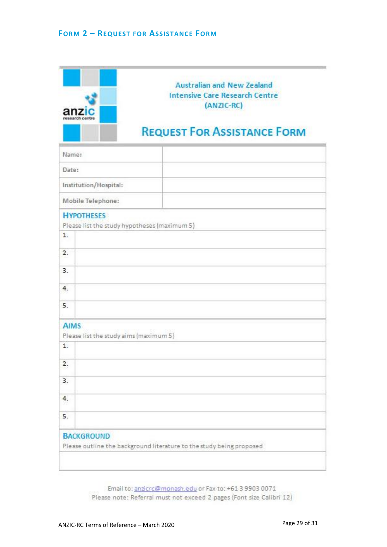<span id="page-28-0"></span>

| anzi<br>research centri                      | <b>Australian and New Zealand</b><br><b>Intensive Care Research Centre</b><br>(ANZIC-RC) |
|----------------------------------------------|------------------------------------------------------------------------------------------|
|                                              | <b>REQUEST FOR ASSISTANCE FORM</b>                                                       |
| Name:                                        |                                                                                          |
| Date:                                        |                                                                                          |
| Institution/Hospital:                        |                                                                                          |
| Mobile Telephone:                            |                                                                                          |
| <b>HYPOTHESES</b>                            |                                                                                          |
| 1.                                           | Please list the study hypotheses (maximum 5)                                             |
| 2.                                           |                                                                                          |
| 3.                                           |                                                                                          |
| 4.                                           |                                                                                          |
| 5.                                           |                                                                                          |
| <b>AIMS</b>                                  |                                                                                          |
| Please list the study aims (maximum 5)<br>1. |                                                                                          |
| 2.                                           |                                                                                          |
| 3.                                           |                                                                                          |
| 4.                                           |                                                                                          |
|                                              |                                                                                          |
| 5.                                           |                                                                                          |

Email to: anzicro@monash.edu or Fax to: +61 3 9903 0071 Please note: Referral must not exceed 2 pages (Font size Calibri 12)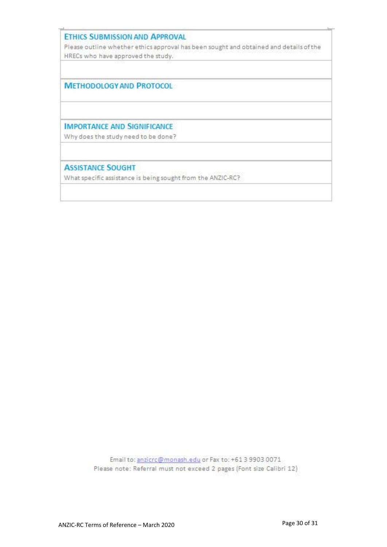## **ETHICS SUBMISSION AND APPROVAL**

Please outline whether ethics approval has been sought and obtained and details of the HRECs who have approved the study.

**METHODOLOGY AND PROTOCOL** 

**IMPORTANCE AND SIGNIFICANCE** 

Why does the study need to be done?

**ASSISTANCE SOUGHT** 

What specific assistance is being sought from the ANZIC-RC?

Email to: anzicro@monash.edu or Fax to: +61 3 9903 0071 Please note: Referral must not exceed 2 pages (Font size Calibri 12)